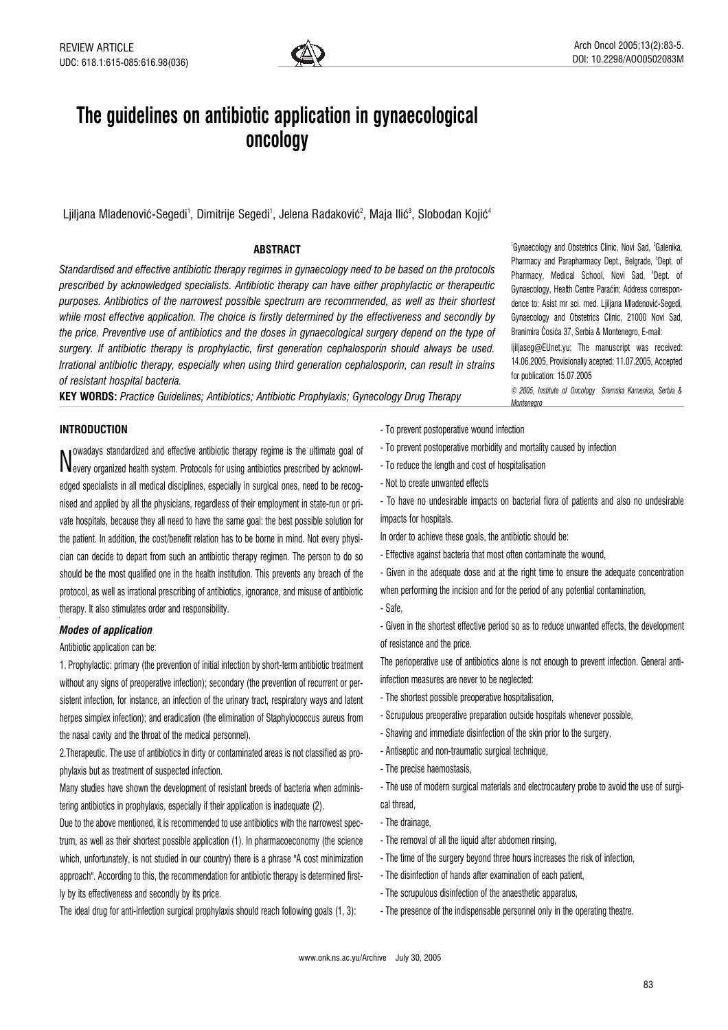

# The guidelines on antibiotic application in gynaecological oncology

Ljiljana Mladenović-Segedi<sup>1</sup>, Dimitrije Segedi<sup>1</sup>, Jelena Radaković $^{\circ}$ , Maja Ilić $^{\circ}$ , Slobodan Kojić $^{\circ}$ 

## ABSTRACT

Standardised and effective antibiotic therapy regimes in gynaecology need to be based on the protocols prescribed by acknowledged specialists. Antibiotic therapy can have either prophylactic or therapeutic purposes. Antibiotics of the narrowest possible spectrum are recommended, as well as their shortest while most effective application. The choice is firstly determined by the effectiveness and secondly by the price. Preventive use of antibiotics and the doses in gynaecological surgery depend on the type of surgery. If antibiotic therapy is prophylactic, first generation cephalosporin should always be used. Irrational antibiotic therapy, especially when using third generation cephalosporin, can result in strains of resistant hospital bacteria.

KEY WORDS: Practice Guidelines; Antibiotics; Antibiotic Prophylaxis; Gynecology Drug Therapy

## INTRODUCTION

Nevery organized health system. Protocols for using antibiotics prescribed by acknowlowadays standardized and effective antibiotic therapy regime is the ultimate goal of edged specialists in all medical disciplines, especially in surgical ones, need to be recognised and applied by all the physicians, regardless of their employment in state-run or private hospitals, because they all need to have the same goal: the best possible solution for the patient. In addition, the cost/benefit relation has to be borne in mind. Not every physician can decide to depart from such an antibiotic therapy regimen. The person to do so should be the most qualified one in the health institution. This prevents any breach of the protocol, as well as irrational prescribing of antibiotics, ignorance, and misuse of antibiotic therapy. It also stimulates order and responsibility.

#### Modes of application

Antibiotic application can be:

1. Prophylactic: primary (the prevention of initial infection by short-term antibiotic treatment without any signs of preoperative infection); secondary (the prevention of recurrent or persistent infection, for instance, an infection of the urinary tract, respiratory ways and latent herpes simplex infection); and eradication (the elimination of Staphylococcus aureus from the nasal cavity and the throat of the medical personnel).

2.Therapeutic. The use of antibiotics in dirty or contaminated areas is not classified as prophylaxis but as treatment of suspected infection.

Many studies have shown the development of resistant breeds of bacteria when administering antibiotics in prophylaxis, especially if their application is inadequate (2).

Due to the above mentioned, it is recommended to use antibiotics with the narrowest spectrum, as well as their shortest possible application (1). In pharmacoeconomy (the science which, unfortunately, is not studied in our country) there is a phrase "A cost minimization approach". According to this, the recommendation for antibiotic therapy is determined firstly by its effectiveness and secondly by its price.

The ideal drug for anti-infection surgical prophylaxis should reach following goals (1, 3):

- To prevent postoperative wound infection
- To prevent postoperative morbidity and mortality caused by infection
- To reduce the length and cost of hospitalisation
- Not to create unwanted effects

- To have no undesirable impacts on bacterial flora of patients and also no undesirable impacts for hospitals.

In order to achieve these goals, the antibiotic should be:

- Effective against bacteria that most often contaminate the wound,

- Given in the adequate dose and at the right time to ensure the adequate concentration when performing the incision and for the period of any potential contamination,

- Safe,

- Given in the shortest effective period so as to reduce unwanted effects, the development of resistance and the price.

The perioperative use of antibiotics alone is not enough to prevent infection. General antiinfection measures are never to be neglected:

- The shortest possible preoperative hospitalisation,
- Scrupulous preoperative preparation outside hospitals whenever possible,
- Shaving and immediate disinfection of the skin prior to the surgery,
- Antiseptic and non-traumatic surgical technique,
- The precise haemostasis,
- The use of modern surgical materials and electrocautery probe to avoid the use of surgical thread,
- The drainage,
- The removal of all the liquid after abdomen rinsing,
- The time of the surgery beyond three hours increases the risk of infection,
- The disinfection of hands after examination of each patient,
- The scrupulous disinfection of the anaesthetic apparatus,
- The presence of the indispensable personnel only in the operating theatre.

1 Gynaecology and Obstetrics Clinic, Novi Sad, <sup>2</sup> Galenika, Pharmacy and Parapharmacy Dept., Belgrade, <sup>s</sup>Dept. of Pharmacy, Medical School, Novi Sad, 'Dept. of Gynaecology, Health Centre Paraćin; Address correspondence to: Asist mr sci. med. Ljiljana Mladenović-Segedi, Gynaecology and Obstetrics Clinic, 21000 Novi Sad, Branimira Ćosića 37, Serbia & Montenegro, E-mail:

ljiljaseg@EUnet.yu; The manuscript was received: 14.06.2005, Provisionally acepted: 11.07.2005, Accepted for publication: 15.07.2005

© 2005, Institute of Oncology Sremska Kamenica, Serbia & Montenegro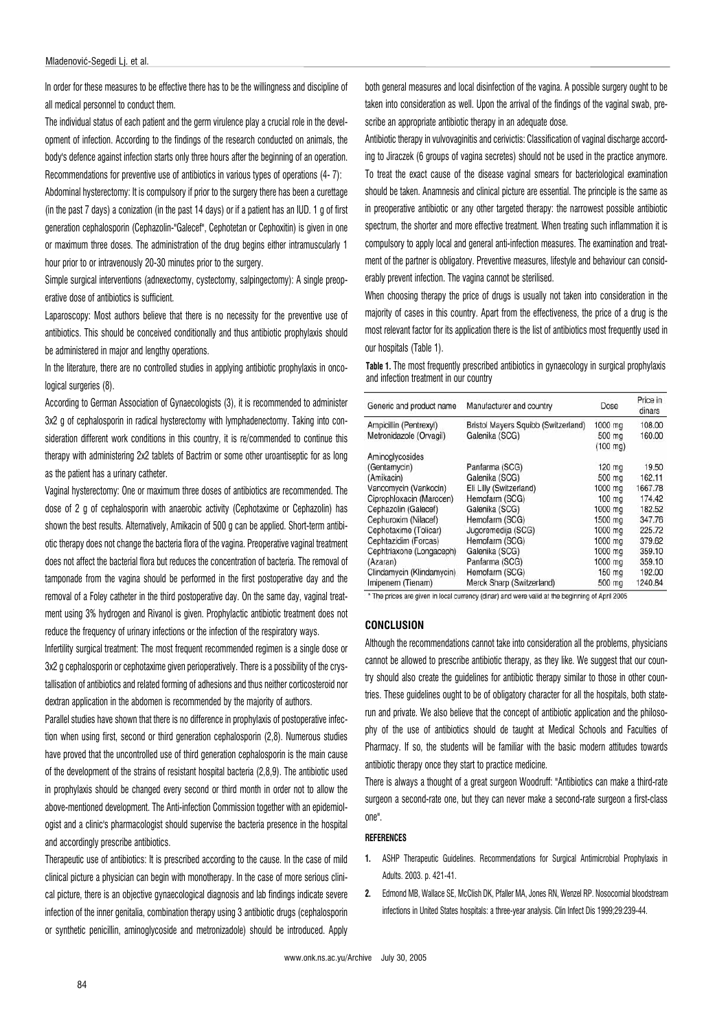In order for these measures to be effective there has to be the willingness and discipline of all medical personnel to conduct them.

The individual status of each patient and the germ virulence play a crucial role in the development of infection. According to the findings of the research conducted on animals, the body's defence against infection starts only three hours after the beginning of an operation. Recommendations for preventive use of antibiotics in various types of operations (4- 7):

Abdominal hysterectomy: It is compulsory if prior to the surgery there has been a curettage (in the past 7 days) a conization (in the past 14 days) or if a patient has an IUD. 1 g of first generation cephalosporin (Cephazolin-"Galecef", Cephotetan or Cephoxitin) is given in one or maximum three doses. The administration of the drug begins either intramuscularly 1 hour prior to or intravenously 20-30 minutes prior to the surgery.

Simple surgical interventions (adnexectomy, cystectomy, salpingectomy): A single preoperative dose of antibiotics is sufficient.

Laparoscopy: Most authors believe that there is no necessity for the preventive use of antibiotics. This should be conceived conditionally and thus antibiotic prophylaxis should be administered in major and lengthy operations.

In the literature, there are no controlled studies in applying antibiotic prophylaxis in oncological surgeries (8).

According to German Association of Gynaecologists (3), it is recommended to administer 3x2 g of cephalosporin in radical hysterectomy with lymphadenectomy. Taking into consideration different work conditions in this country, it is re/commended to continue this therapy with administering 2x2 tablets of Bactrim or some other uroantiseptic for as long as the patient has a urinary catheter.

Vaginal hysterectomy: One or maximum three doses of antibiotics are recommended. The dose of 2 g of cephalosporin with anaerobic activity (Cephotaxime or Cephazolin) has shown the best results. Alternatively, Amikacin of 500 g can be applied. Short-term antibiotic therapy does not change the bacteria flora of the vagina. Preoperative vaginal treatment does not affect the bacterial flora but reduces the concentration of bacteria. The removal of tamponade from the vagina should be performed in the first postoperative day and the removal of a Foley catheter in the third postoperative day. On the same day, vaginal treatment using 3% hydrogen and Rivanol is given. Prophylactic antibiotic treatment does not reduce the frequency of urinary infections or the infection of the respiratory ways.

Infertility surgical treatment: The most frequent recommended regimen is a single dose or 3x2 g cephalosporin or cephotaxime given perioperatively. There is a possibility of the crystallisation of antibiotics and related forming of adhesions and thus neither corticosteroid nor dextran application in the abdomen is recommended by the majority of authors.

Parallel studies have shown that there is no difference in prophylaxis of postoperative infection when using first, second or third generation cephalosporin (2,8). Numerous studies have proved that the uncontrolled use of third generation cephalosporin is the main cause of the development of the strains of resistant hospital bacteria (2,8,9). The antibiotic used in prophylaxis should be changed every second or third month in order not to allow the above-mentioned development. The Anti-infection Commission together with an epidemiologist and a clinic's pharmacologist should supervise the bacteria presence in the hospital and accordingly prescribe antibiotics.

Therapeutic use of antibiotics: It is prescribed according to the cause. In the case of mild clinical picture a physician can begin with monotherapy. In the case of more serious clinical picture, there is an objective gynaecological diagnosis and lab findings indicate severe infection of the inner genitalia, combination therapy using 3 antibiotic drugs (cephalosporin or synthetic penicillin, aminoglycoside and metronizadole) should be introduced. Apply both general measures and local disinfection of the vagina. A possible surgery ought to be taken into consideration as well. Upon the arrival of the findings of the vaginal swab, prescribe an appropriate antibiotic therapy in an adequate dose.

Antibiotic therapy in vulvovaginitis and cerivictis: Classification of vaginal discharge according to Jiraczek (6 groups of vagina secretes) should not be used in the practice anymore. To treat the exact cause of the disease vaginal smears for bacteriological examination should be taken. Anamnesis and clinical picture are essential. The principle is the same as in preoperative antibiotic or any other targeted therapy: the narrowest possible antibiotic spectrum, the shorter and more effective treatment. When treating such inflammation it is compulsory to apply local and general anti-infection measures. The examination and treatment of the partner is obligatory. Preventive measures, lifestyle and behaviour can considerably prevent infection. The vagina cannot be sterilised.

When choosing therapy the price of drugs is usually not taken into consideration in the majority of cases in this country. Apart from the effectiveness, the price of a drug is the most relevant factor for its application there is the list of antibiotics most frequently used in our hospitals (Table 1).

Table 1. The most frequently prescribed antibiotics in gynaecology in surgical prophylaxis and infection treatment in our country

| Generic and product name  | Manufacturer and country            | Dose               | Price in<br>dinars |
|---------------------------|-------------------------------------|--------------------|--------------------|
| Ampicillin (Pentrexyl)    | Bristol Mayers Squibb (Switzerland) | 1000 mg            | 108.00             |
| Metronidazole (Orvagil)   | Galenika (SCG)                      | 500 mg             | 160.00             |
|                           |                                     | $(100 \text{ mg})$ |                    |
| Aminoglycosides           |                                     |                    |                    |
| (Gentamycin)              | Panfarma (SCG)                      | 120 mg             | 19.50              |
| (Amikacin)                | Galenika (SCG)                      | 500 mg             | 162.11             |
| Vancomycin (Vankocin)     | Eli Lilly (Switzerland)             | 1000 mg            | 1667.78            |
| Ciprophloxacin (Marocen)  | Hemofarm (SCG)                      | 100 mg             | 174.42             |
| Cephazolin (Galecef)      | Galenika (SCG)                      | 1000 mg            | 182.52             |
| Cephuroxim (Nilacef)      | Hemofarm (SCG)                      | 1500 mg            | 347.76             |
| Cephotaxime (Tolicar)     | Jugoremedija (SCG)                  | 1000 mg            | 225.72             |
| Cephtazidim (Forcas)      | Hemofarm (SCG)                      | 1000 mg            | 379.62             |
| Cephtriaxone (Longaceph)  | Galenika (SCG)                      | 1000 mg            | 359.10             |
| (Azaran)                  | Panfarma (SCG)                      | 1000 mg            | 359.10             |
| Clindamycin (Klindamycin) | Hemofarm (SCG)                      | 150 mg             | 192.00             |
| Imipenem (Tienam)         | Merck Sharp (Switzerland)           | 500 mg             | 1240.84            |

\* The prices are given in local currency (dinar) and were valid at the beginning of April 2005

## CONCLUSION

Although the recommendations cannot take into consideration all the problems, physicians cannot be allowed to prescribe antibiotic therapy, as they like. We suggest that our country should also create the guidelines for antibiotic therapy similar to those in other countries. These guidelines ought to be of obligatory character for all the hospitals, both staterun and private. We also believe that the concept of antibiotic application and the philosophy of the use of antibiotics should de taught at Medical Schools and Faculties of Pharmacy. If so, the students will be familiar with the basic modern attitudes towards antibiotic therapy once they start to practice medicine.

There is always a thought of a great surgeon Woodruff: "Antibiotics can make a third-rate surgeon a second-rate one, but they can never make a second-rate surgeon a first-class one".

#### **REFERENCES**

- 1. ASHP Therapeutic Guidelines. Recommendations for Surgical Antimicrobial Prophylaxis in Adults. 2003. p. 421-41.
- 2. Edmond MB, Wallace SF, McClish DK, Pfaller MA, Jones RN, Wenzel RP, Nosocomial bloodstream infections in United States hospitals: a three-year analysis. Clin Infect Dis 1999;29:239-44.